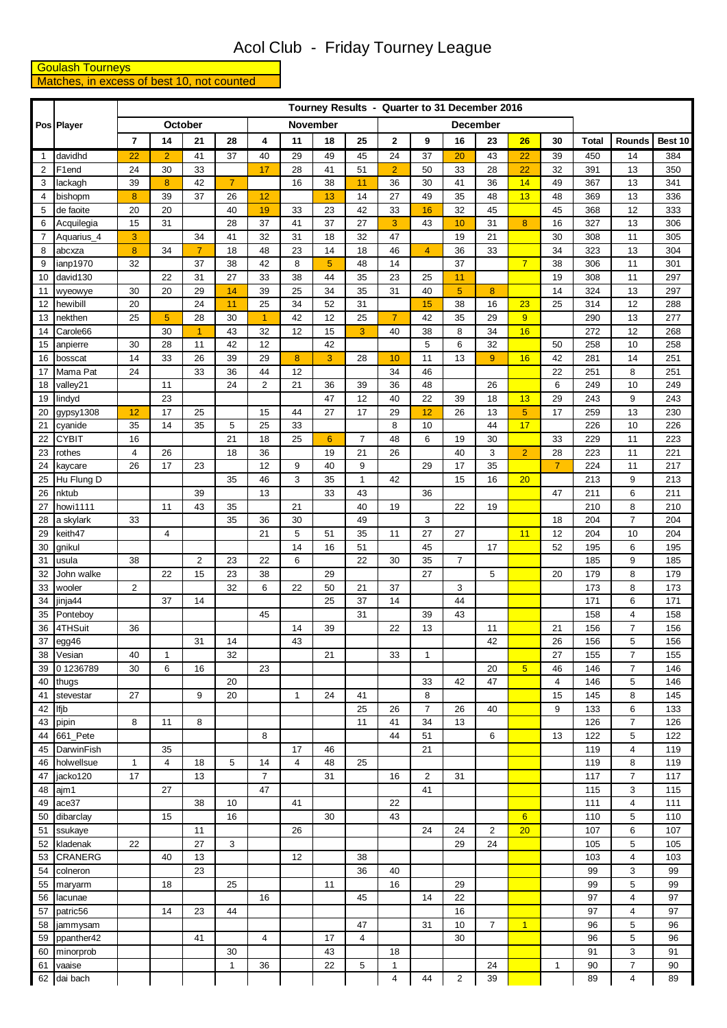## Acol Club - Friday Tourney League

**Goulash Tourneys**<br>Matches, in excess of best 10, not counted

|              |                      |                |                   |                            |                    |                 |                 |          |                | Tourney Results - Quarter to 31 December 2016 |                         |                 |                  |                 |                |              |                                  |            |
|--------------|----------------------|----------------|-------------------|----------------------------|--------------------|-----------------|-----------------|----------|----------------|-----------------------------------------------|-------------------------|-----------------|------------------|-----------------|----------------|--------------|----------------------------------|------------|
|              | Pos Player           |                |                   | October                    |                    |                 | <b>November</b> |          |                |                                               |                         | <b>December</b> |                  |                 |                |              |                                  |            |
|              |                      | $\overline{7}$ | 14                | 21                         | 28                 | 4               | 11              | 18       | 25             | $\mathbf 2$                                   | 9                       | 16              | 23               | 26              | 30             | <b>Total</b> | Rounds                           | Best 10    |
| $\mathbf{1}$ | davidhd              | 22             | $\overline{2}$    | 41                         | 37                 | 40              | 29              | 49       | 45             | 24                                            | 37                      | 20              | 43               | 22              | 39             | 450          | 14                               | 384        |
| 2            | F1end                | 24             | 30                | 33                         |                    | 17              | 28              | 41       | 51             | $\overline{2}$                                | 50                      | 33              | 28               | 22              | 32             | 391          | 13                               | 350        |
| 3            | lackagh              | 39             | 8                 | 42                         | $\overline{7}$     |                 | 16              | 38       | 11             | 36                                            | 30                      | 41              | 36               | 14              | 49             | 367          | 13                               | 341        |
| 4            | bishopm              | 8              | 39                | 37                         | 26                 | 12              |                 | 13       | 14             | 27                                            | 49                      | 35              | 48               | 13              | 48             | 369          | 13                               | 336        |
| 5            | de faoite            | 20             | 20                |                            | 40                 | 19              | 33              | 23       | 42             | 33                                            | 16                      | 32              | 45               |                 | 45             | 368          | 12                               | 333        |
| 6            | Acquilegia           | 15             | 31                |                            | 28                 | 37              | 41              | 37       | 27             | 3                                             | 43                      | 10              | 31               | 8               | 16             | 327          | 13                               | 306        |
| 7            | Aquarius_4           | 3              |                   | 34                         | 41                 | 32              | 31              | 18       | 32             | 47                                            |                         | 19              | 21               |                 | 30             | 308          | 11                               | 305        |
| 8            | abcxza               | 8              | 34                | $\overline{7}$             | 18                 | 48              | 23              | 14       | 18             | 46                                            | $\overline{4}$          | 36              | 33               |                 | 34             | 323          | 13                               | 304        |
| 9            | ianp1970             | 32             |                   | 37                         | 38                 | 42              | 8               | 5        | 48             | 14                                            |                         | 37              |                  | $\overline{7}$  | 38             | 306          | 11                               | 301        |
| 10           | david130             |                | 22                | 31                         | 27                 | 33              | 38              | 44       | 35             | 23                                            | 25                      | 11              |                  |                 | 19             | 308          | 11                               | 297        |
| 11           | wyeowye              | 30             | 20                | 29                         | 14                 | 39              | 25              | 34       | 35             | 31                                            | 40                      | $\overline{5}$  | $\boldsymbol{8}$ |                 | 14             | 324          | 13                               | 297        |
| 12           | hewibill             | 20             |                   | 24                         | 11                 | 25              | 34              | 52       | 31             |                                               | 15                      | 38              | 16               | 23              | 25             | 314          | 12                               | 288        |
| 13           | nekthen              | 25             | 5                 | 28                         | 30                 | $\overline{1}$  | 42              | 12       | 25<br>3        | $\overline{7}$<br>40                          | 42                      | 35<br>8         | 29               | 9               |                | 290          | 13                               | 277        |
| 14<br>15     | Carole66<br>anpierre | 30             | 30<br>28          | $\blacktriangleleft$<br>11 | 43<br>42           | 32<br>12        | 12              | 15<br>42 |                |                                               | 38<br>5                 | 6               | 34<br>32         | 16              | 50             | 272<br>258   | 12<br>10                         | 268<br>258 |
| 16           | bosscat              | 14             | 33                | 26                         | 39                 | 29              | $\bf{8}$        | 3        | 28             | 10                                            | 11                      | 13              | 9                | 16              | 42             | 281          | 14                               | 251        |
| 17           | Mama Pat             | 24             |                   | 33                         | 36                 | 44              | 12              |          |                | 34                                            | 46                      |                 |                  |                 | 22             | 251          | 8                                | 251        |
| 18           | valley21             |                | 11                |                            | 24                 | $\overline{c}$  | 21              | 36       | 39             | 36                                            | 48                      |                 | 26               |                 | 6              | 249          | 10                               | 249        |
| 19           | lindyd               |                | 23                |                            |                    |                 |                 | 47       | 12             | 40                                            | 22                      | 39              | 18               | 13              | 29             | 243          | 9                                | 243        |
| 20           | $g$ ypsy1308         | 12             | 17                | 25                         |                    | 15              | 44              | 27       | 17             | 29                                            | 12                      | 26              | 13               | 5               | 17             | 259          | 13                               | 230        |
| 21           | cyanide              | 35             | 14                | 35                         | 5                  | $\overline{25}$ | 33              |          |                | 8                                             | 10                      |                 | 44               | 17              |                | 226          | $10$                             | 226        |
| 22           | <b>CYBIT</b>         | 16             |                   |                            | 21                 | 18              | 25              | 6        | $\overline{7}$ | 48                                            | 6                       | 19              | 30               |                 | 33             | 229          | 11                               | 223        |
| 23           | rothes               | 4              | 26                |                            | 18                 | 36              |                 | 19       | 21             | 26                                            |                         | 40              | 3                | $\overline{2}$  | 28             | 223          | 11                               | 221        |
| 24           | kaycare              | 26             | 17                | 23                         |                    | 12              | 9               | 40       | 9              |                                               | 29                      | 17              | 35               |                 | $\overline{7}$ | 224          | 11                               | 217        |
| 25           | Hu Flung D           |                |                   |                            | 35                 | 46              | 3               | 35       | $\mathbf{1}$   | 42                                            |                         | 15              | 16               | 20              |                | 213          | 9                                | 213        |
| 26           | nktub                |                |                   | 39                         |                    | 13              |                 | 33       | 43             |                                               | 36                      |                 |                  |                 | 47             | 211          | 6                                | 211        |
| 27           | howi1111             |                | 11                | 43                         | 35                 |                 | 21              |          | 40             | 19                                            |                         | 22              | 19               |                 |                | 210          | 8                                | 210        |
| 28           | a skylark            | 33             |                   |                            | 35                 | 36              | 30              |          | 49             |                                               | 3                       |                 |                  |                 | 18             | 204          | 7                                | 204        |
| 29           | keith47              |                | $\overline{4}$    |                            |                    | 21              | 5               | 51       | 35             | 11                                            | 27                      | 27              |                  | 11              | 12             | 204          | 10                               | 204        |
| 30           | gnikul               |                |                   |                            |                    |                 | 14              | 16       | 51             |                                               | 45                      |                 | 17               |                 | 52             | 195          | 6                                | 195        |
| 31           | usula                | 38             |                   | $\overline{2}$             | 23                 | 22              | 6               |          | 22             | 30                                            | 35                      | $\overline{7}$  |                  |                 |                | 185          | 9                                | 185        |
| 32           | John walke           |                | 22                | 15                         | 23                 | 38              |                 | 29       |                |                                               | 27                      |                 | 5                |                 | 20             | 179          | 8                                | 179        |
| 33           | wooler               | $\overline{2}$ |                   |                            | 32                 | 6               | 22              | 50       | 21             | 37                                            |                         | 3               |                  |                 |                | 173          | 8                                | 173        |
| 34           | jinja44              |                | 37                | 14                         |                    |                 |                 | 25       | 37             | 14                                            |                         | 44              |                  |                 |                | 171          | 6                                | 171        |
| 35           | Ponteboy             |                |                   |                            |                    | 45              |                 |          | 31             |                                               | 39                      | 43              |                  |                 |                | 158          | 4                                | 158        |
| 36           | 4THSuit              | 36             |                   |                            |                    |                 | 14              | 39       |                | 22                                            | 13                      |                 | 11               |                 | 21             | 156          | $\overline{7}$                   | 156        |
| 37           | egg46                |                |                   | 31                         | 14                 |                 | 43              |          |                |                                               |                         |                 | 42               |                 | 26             | 156          | 5                                | 156        |
| 38<br>39     | Vesian<br>01236789   | 40<br>30       | $\mathbf{1}$<br>6 | 16                         | 32                 | 23              |                 | 21       |                | 33                                            | 1                       |                 | 20               | $\overline{5}$  | 27<br>46       | 155<br>146   | $\overline{7}$<br>$\overline{7}$ | 155<br>146 |
| 40           | thugs                |                |                   |                            | 20                 |                 |                 |          |                |                                               | 33                      | 42              | 47               |                 | $\overline{4}$ | 146          | 5                                | 146        |
| 41           | stevestar            | 27             |                   | 9                          | 20                 |                 | $\mathbf{1}$    | 24       | 41             |                                               | 8                       |                 |                  |                 | 15             | 145          | 8                                | 145        |
| 42           | Ifjb                 |                |                   |                            |                    |                 |                 |          | 25             | 26                                            | $\overline{7}$          | 26              | 40               |                 | 9              | 133          | 6                                | 133        |
| 43           | pipin                | 8              | 11                | 8                          |                    |                 |                 |          | 11             | 41                                            | 34                      | 13              |                  |                 |                | 126          | $\overline{7}$                   | 126        |
| 44           | 661 Pete             |                |                   |                            |                    | 8               |                 |          |                | 44                                            | 51                      |                 | 6                |                 | 13             | 122          | 5                                | 122        |
| 45           | DarwinFish           |                | 35                |                            |                    |                 | 17              | 46       |                |                                               | 21                      |                 |                  |                 |                | 119          | 4                                | 119        |
| 46           | holwellsue           | $\mathbf{1}$   | $\overline{4}$    | 18                         | 5                  | 14              | 4               | 48       | 25             |                                               |                         |                 |                  |                 |                | 119          | 8                                | 119        |
| 47           | jacko120             | 17             |                   | 13                         |                    | $\overline{7}$  |                 | 31       |                | 16                                            | $\overline{\mathbf{c}}$ | 31              |                  |                 |                | 117          | $\overline{7}$                   | 117        |
| 48           | ajm1                 |                | 27                |                            |                    | 47              |                 |          |                |                                               | 41                      |                 |                  |                 |                | 115          | 3                                | 115        |
| 49           | ace37                |                |                   | 38                         | 10                 |                 | 41              |          |                | 22                                            |                         |                 |                  |                 |                | 111          | 4                                | 111        |
| 50           | dibarclay            |                | 15                |                            | 16                 |                 |                 | 30       |                | 43                                            |                         |                 |                  | $6\overline{6}$ |                | 110          | 5                                | 110        |
| 51           | ssukaye              |                |                   | 11                         |                    |                 | 26              |          |                |                                               | 24                      | 24              | $\overline{2}$   | 20              |                | 107          | 6                                | 107        |
| 52           | kladenak             | 22             |                   | 27                         | 3                  |                 |                 |          |                |                                               |                         | 29              | 24               |                 |                | 105          | 5                                | 105        |
| 53           | <b>CRANERG</b>       |                | 40                | 13                         |                    |                 | 12              |          | 38             |                                               |                         |                 |                  |                 |                | 103          | 4                                | 103        |
| 54           | colneron             |                |                   | 23                         |                    |                 |                 |          | 36             | 40                                            |                         |                 |                  |                 |                | 99           | 3                                | 99         |
| 55           | maryarm              |                | 18                |                            | 25                 |                 |                 | 11       |                | 16                                            |                         | 29              |                  |                 |                | 99           | 5                                | 99         |
| 56           | lacunae              |                |                   |                            |                    | 16              |                 |          | 45             |                                               | 14                      | 22              |                  |                 |                | 97           | 4                                | 97         |
| 57           | patric56             |                | 14                | 23                         | 44                 |                 |                 |          |                |                                               |                         | 16              |                  |                 |                | 97           | 4                                | 97         |
| 58           | jammysam             |                |                   |                            |                    |                 |                 |          | 47             |                                               | 31                      | 10              | $\overline{7}$   | $\mathbf{1}$    |                | 96           | 5                                | 96         |
| 59           | ppanther42           |                |                   | 41                         |                    | $\overline{4}$  |                 | 17       | $\overline{4}$ |                                               |                         | 30              |                  |                 |                | 96           | 5                                | 96         |
| 60           | minorprob<br>vaaise  |                |                   |                            | 30<br>$\mathbf{1}$ | 36              |                 | 43<br>22 | 5              | 18                                            |                         |                 | 24               |                 |                | 91<br>90     | 3<br>$\overline{7}$              | 91<br>90   |
| 61           |                      |                |                   |                            |                    |                 |                 |          |                | 1<br>4                                        | 44                      |                 | 39               |                 | 1              |              |                                  | 89         |
|              | 62 dai bach          |                |                   |                            |                    |                 |                 |          |                |                                               |                         | $\overline{c}$  |                  |                 |                | 89           | 4                                |            |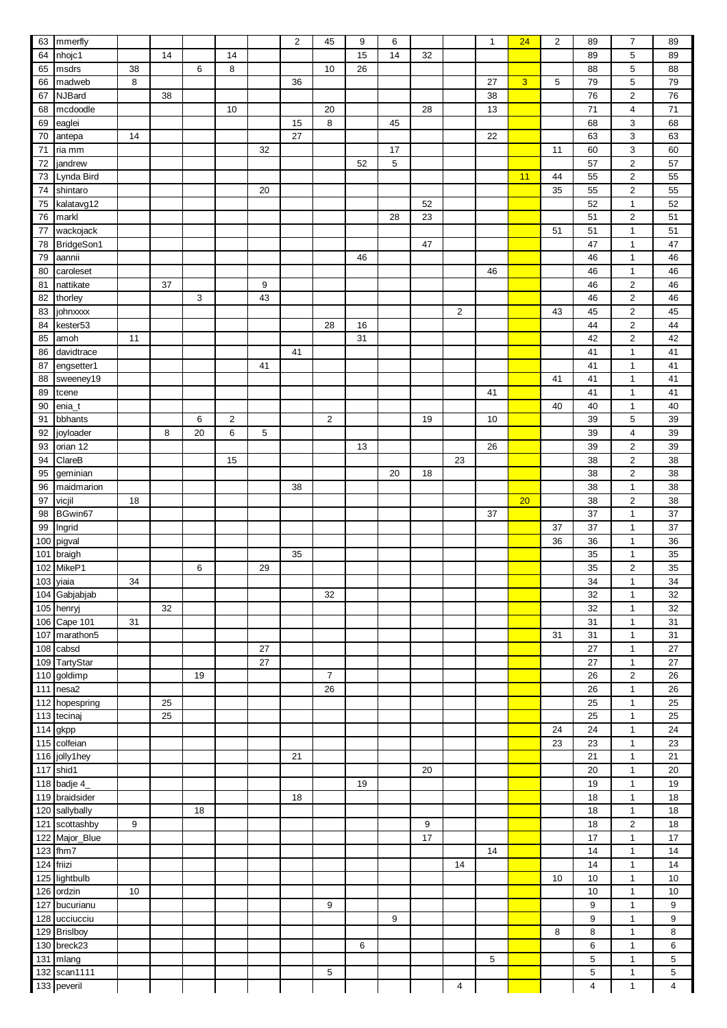| 63         | mmerfly               |    |    |    |                |    | $\overline{c}$ | 45             | 9  | 6  |    |                | $\mathbf{1}$ | 24 | $\overline{2}$ | 89                      | 7              | 89                      |
|------------|-----------------------|----|----|----|----------------|----|----------------|----------------|----|----|----|----------------|--------------|----|----------------|-------------------------|----------------|-------------------------|
| 64         |                       |    | 14 |    | 14             |    |                |                | 15 | 14 | 32 |                |              |    |                | 89                      | 5              | 89                      |
|            | nhojc1                |    |    |    |                |    |                |                |    |    |    |                |              |    |                |                         |                |                         |
| 65         | msdrs                 | 38 |    | 6  | 8              |    |                | 10             | 26 |    |    |                |              |    |                | 88                      | 5              | 88                      |
| 66         | madweb                | 8  |    |    |                |    | 36             |                |    |    |    |                | 27           | 3  | 5              | 79                      | 5              | 79                      |
| 67         | <b>NJBard</b>         |    | 38 |    |                |    |                |                |    |    |    |                | 38           |    |                | 76                      | 2              | 76                      |
| 68         | mcdoodle              |    |    |    | 10             |    |                | 20             |    |    | 28 |                | 13           |    |                | 71                      | 4              | 71                      |
| 69         | eaglei                |    |    |    |                |    | 15             | 8              |    | 45 |    |                |              |    |                | 68                      | 3              | 68                      |
| 70         | antepa                | 14 |    |    |                |    | 27             |                |    |    |    |                | 22           |    |                | 63                      | 3              | 63                      |
| 71         | ria mm                |    |    |    |                | 32 |                |                |    | 17 |    |                |              |    | 11             | 60                      | 3              | 60                      |
| 72         | jandrew               |    |    |    |                |    |                |                | 52 | 5  |    |                |              |    |                | 57                      | 2              | 57                      |
|            | Lynda Bird            |    |    |    |                |    |                |                |    |    |    |                |              | 11 | 44             | 55                      | 2              | 55                      |
| 73         |                       |    |    |    |                |    |                |                |    |    |    |                |              |    |                |                         |                |                         |
| 74         | shintaro              |    |    |    |                | 20 |                |                |    |    |    |                |              |    | 35             | 55                      | 2              | 55                      |
| 75         | kalatavg12            |    |    |    |                |    |                |                |    |    | 52 |                |              |    |                | 52                      | 1              | 52                      |
| 76         | markl                 |    |    |    |                |    |                |                |    | 28 | 23 |                |              |    |                | 51                      | 2              | 51                      |
| 77         | wackojack             |    |    |    |                |    |                |                |    |    |    |                |              |    | 51             | 51                      | $\mathbf{1}$   | 51                      |
| 78         | BridgeSon1            |    |    |    |                |    |                |                |    |    | 47 |                |              |    |                | 47                      | $\mathbf{1}$   | 47                      |
| 79         | aannii                |    |    |    |                |    |                |                | 46 |    |    |                |              |    |                | 46                      | $\mathbf{1}$   | 46                      |
| 80         | caroleset             |    |    |    |                |    |                |                |    |    |    |                | 46           |    |                | 46                      | $\mathbf{1}$   | 46                      |
| 81         | nattikate             |    | 37 |    |                | 9  |                |                |    |    |    |                |              |    |                | 46                      | 2              | 46                      |
| 82         | thorley               |    |    | 3  |                | 43 |                |                |    |    |    |                |              |    |                | 46                      | 2              | 46                      |
| 83         | johnxxxx              |    |    |    |                |    |                |                |    |    |    | $\overline{2}$ |              |    | 43             | 45                      | 2              | 45                      |
| 84         | kester <sub>53</sub>  |    |    |    |                |    |                | 28             | 16 |    |    |                |              |    |                | 44                      | 2              | 44                      |
| 85         | amoh                  | 11 |    |    |                |    |                |                | 31 |    |    |                |              |    |                | 42                      | 2              | 42                      |
| 86         | davidtrace            |    |    |    |                |    | 41             |                |    |    |    |                |              |    |                | 41                      | $\mathbf{1}$   | 41                      |
|            |                       |    |    |    |                | 41 |                |                |    |    |    |                |              |    |                |                         | 1              | 41                      |
| 87         | engsetter1            |    |    |    |                |    |                |                |    |    |    |                |              |    |                | 41                      |                |                         |
| 88         | sweeney19             |    |    |    |                |    |                |                |    |    |    |                |              |    | 41             | 41                      | 1              | 41                      |
| 89         | tcene                 |    |    |    |                |    |                |                |    |    |    |                | 41           |    |                | 41                      | 1              | 41                      |
| 90         | enia_t                |    |    |    |                |    |                |                |    |    |    |                |              |    | 40             | 40                      | $\mathbf{1}$   | 40                      |
| 91         | bbhants               |    |    | 6  | $\overline{2}$ |    |                | $\overline{2}$ |    |    | 19 |                | 10           |    |                | 39                      | 5              | 39                      |
| 92         | joyloader             |    | 8  | 20 | 6              | 5  |                |                |    |    |    |                |              |    |                | 39                      | 4              | 39                      |
| 93         | orian 12              |    |    |    |                |    |                |                | 13 |    |    |                | 26           |    |                | 39                      | 2              | 39                      |
| 94         | ClareB                |    |    |    | 15             |    |                |                |    |    |    | 23             |              |    |                | 38                      | 2              | 38                      |
| 95         | geminian              |    |    |    |                |    |                |                |    | 20 | 18 |                |              |    |                | 38                      | 2              | 38                      |
| 96         | maidmarion            |    |    |    |                |    | 38             |                |    |    |    |                |              |    |                | 38                      | $\mathbf{1}$   | 38                      |
| 97         | vicjil                | 18 |    |    |                |    |                |                |    |    |    |                |              | 20 |                | 38                      | 2              | 38                      |
| 98         | BGwin67               |    |    |    |                |    |                |                |    |    |    |                | 37           |    |                | 37                      | 1              | 37                      |
| 99         | Ingrid                |    |    |    |                |    |                |                |    |    |    |                |              |    | 37             | 37                      | $\mathbf{1}$   | 37                      |
| 100        | pigval                |    |    |    |                |    |                |                |    |    |    |                |              |    | 36             | 36                      | 1              | 36                      |
| 101        | braigh                |    |    |    |                |    | 35             |                |    |    |    |                |              |    |                | 35                      | 1              | 35                      |
|            | MikeP1                |    |    |    |                | 29 |                |                |    |    |    |                |              |    |                | 35                      |                | 35                      |
| 102        |                       |    |    | 6  |                |    |                |                |    |    |    |                |              |    |                |                         | 2              |                         |
|            | 103 yiaia             | 34 |    |    |                |    |                |                |    |    |    |                |              |    |                | $\overline{34}$         | 1              | 34                      |
|            | 104 Gabjabjab         |    |    |    |                |    |                | 32             |    |    |    |                |              |    |                | 32                      | $\mathbf{1}$   | 32                      |
|            | 105 henryj            |    | 32 |    |                |    |                |                |    |    |    |                |              |    |                | 32                      | $\mathbf{1}$   | 32                      |
|            | 106 Cape 101          | 31 |    |    |                |    |                |                |    |    |    |                |              |    |                | 31                      | $\mathbf{1}$   | 31                      |
| 107        | marathon5             |    |    |    |                |    |                |                |    |    |    |                |              |    | 31             | 31                      | 1              | 31                      |
|            | 108 cabsd             |    |    |    |                | 27 |                |                |    |    |    |                |              |    |                | 27                      | $\mathbf{1}$   | 27                      |
|            | 109 TartyStar         |    |    |    |                | 27 |                |                |    |    |    |                |              |    |                | 27                      | $\mathbf{1}$   | 27                      |
|            | 110 goldimp           |    |    | 19 |                |    |                | $\overline{7}$ |    |    |    |                |              |    |                | 26                      | $\overline{c}$ | 26                      |
|            | 111 nesa2             |    |    |    |                |    |                | 26             |    |    |    |                |              |    |                | 26                      | $\mathbf{1}$   | 26                      |
|            | 112 hopespring        |    | 25 |    |                |    |                |                |    |    |    |                |              |    |                | 25                      | $\mathbf{1}$   | 25                      |
|            | 113 tecinaj           |    | 25 |    |                |    |                |                |    |    |    |                |              |    |                | 25                      | $\mathbf{1}$   | 25                      |
|            | $\overline{114}$ gkpp |    |    |    |                |    |                |                |    |    |    |                |              |    | 24             | 24                      | $\mathbf{1}$   | 24                      |
|            | 115 colfeian          |    |    |    |                |    |                |                |    |    |    |                |              |    | 23             | 23                      | $\mathbf{1}$   | 23                      |
|            | 116 jolly1hey         |    |    |    |                |    | 21             |                |    |    |    |                |              |    |                | 21                      | $\mathbf{1}$   | $\overline{21}$         |
|            | 117 shid1             |    |    |    |                |    |                |                |    |    | 20 |                |              |    |                | 20                      | $\mathbf{1}$   | 20                      |
|            |                       |    |    |    |                |    |                |                |    |    |    |                |              |    |                |                         |                |                         |
|            | 118 badje 4_          |    |    |    |                |    |                |                | 19 |    |    |                |              |    |                | 19                      | $\mathbf{1}$   | 19                      |
|            | 119 braidsider        |    |    |    |                |    | 18             |                |    |    |    |                |              |    |                | 18                      | 1              | 18                      |
|            | 120 sallybally        |    |    | 18 |                |    |                |                |    |    |    |                |              |    |                | 18                      | 1              | 18                      |
|            | 121 scottashby        | 9  |    |    |                |    |                |                |    |    | 9  |                |              |    |                | 18                      | 2              | 18                      |
|            | 122 Major_Blue        |    |    |    |                |    |                |                |    |    | 17 |                |              |    |                | 17                      | $\mathbf{1}$   | $\overline{17}$         |
|            | 123 fhm7              |    |    |    |                |    |                |                |    |    |    |                | 14           |    |                | 14                      | $\mathbf{1}$   | 14                      |
| 124 friizi |                       |    |    |    |                |    |                |                |    |    |    | 14             |              |    |                | 14                      | $\mathbf{1}$   | 14                      |
| 125        | lightbulb             |    |    |    |                |    |                |                |    |    |    |                |              |    | 10             | 10                      | $\mathbf{1}$   | 10                      |
| 126        | ordzin                | 10 |    |    |                |    |                |                |    |    |    |                |              |    |                | 10                      | 1              | 10                      |
|            | 127 bucurianu         |    |    |    |                |    |                | 9              |    |    |    |                |              |    |                | $\boldsymbol{9}$        | $\mathbf{1}$   | 9                       |
|            | 128 ucciucciu         |    |    |    |                |    |                |                |    | 9  |    |                |              |    |                | 9                       | $\mathbf{1}$   | 9                       |
|            | 129 Brislboy          |    |    |    |                |    |                |                |    |    |    |                |              |    | 8              | 8                       | $\mathbf{1}$   | 8                       |
|            | 130 breck23           |    |    |    |                |    |                |                | 6  |    |    |                |              |    |                | 6                       | $\mathbf{1}$   | 6                       |
|            | 131 mlang             |    |    |    |                |    |                |                |    |    |    |                | 5            |    |                | 5                       | 1              | 5                       |
|            | 132 scan1111          |    |    |    |                |    |                | 5              |    |    |    |                |              |    |                | 5                       | 1              | 5                       |
|            | 133 peveril           |    |    |    |                |    |                |                |    |    |    | 4              |              |    |                | $\overline{\mathbf{4}}$ | $\mathbf{1}$   | $\overline{\mathbf{4}}$ |
|            |                       |    |    |    |                |    |                |                |    |    |    |                |              |    |                |                         |                |                         |